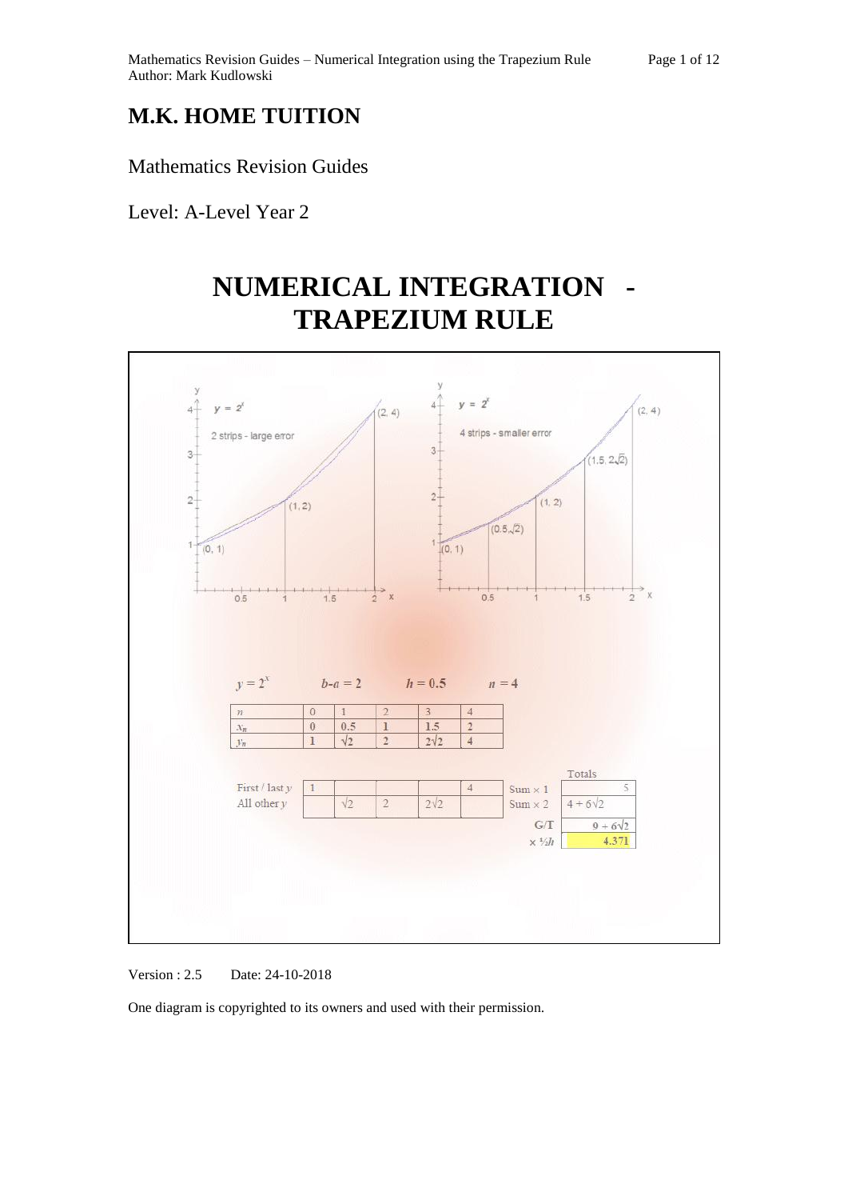## **M.K. HOME TUITION**

Mathematics Revision Guides

Level: A-Level Year 2

# **NUMERICAL INTEGRATION - TRAPEZIUM RULE**



Version : 2.5 Date: 24-10-2018

One diagram is copyrighted to its owners and used with their permission.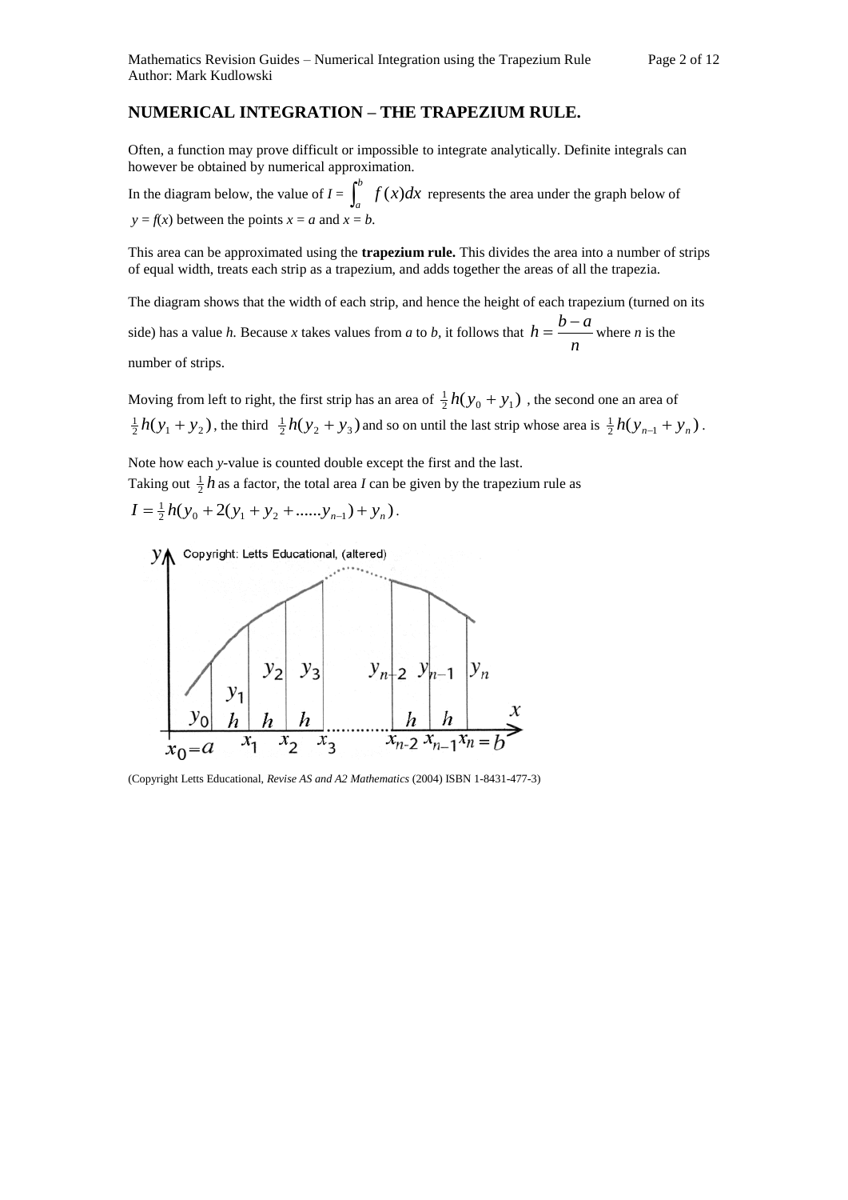### **NUMERICAL INTEGRATION – THE TRAPEZIUM RULE.**

Often, a function may prove difficult or impossible to integrate analytically. Definite integrals can however be obtained by numerical approximation.

In the diagram below, the value of  $I = \int_0^b f(x) dx$  $\int_a^b f(x)dx$  represents the area under the graph below of  $y = f(x)$  between the points  $x = a$  and  $x = b$ .

This area can be approximated using the **trapezium rule.** This divides the area into a number of strips of equal width, treats each strip as a trapezium, and adds together the areas of all the trapezia.

The diagram shows that the width of each strip, and hence the height of each trapezium (turned on its side) has a value *h*. Because *x* takes values from *a* to *b*, it follows that  $h = \frac{a}{n}$  $h = \frac{b-a}{b}$  where *n* is the number of strips.

Moving from left to right, the first strip has an area of  $\frac{1}{2}h(y_0 + y_1)$ , the second one an area of  $\frac{1}{2}h(y_1 + y_2)$ , the third  $\frac{1}{2}h(y_2 + y_3)$  and so on until the last strip whose area is  $\frac{1}{2}h(y_{n-1} + y_n)$ .

Note how each *y-*value is counted double except the first and the last.

Taking out  $\frac{1}{2}h$  as a factor, the total area *I* can be given by the trapezium rule as

$$
I = \frac{1}{2}h(y_0 + 2(y_1 + y_2 + \dots + y_{n-1}) + y_n).
$$



(Copyright Letts Educational, *Revise AS and A2 Mathematics* (2004) ISBN 1-8431-477-3)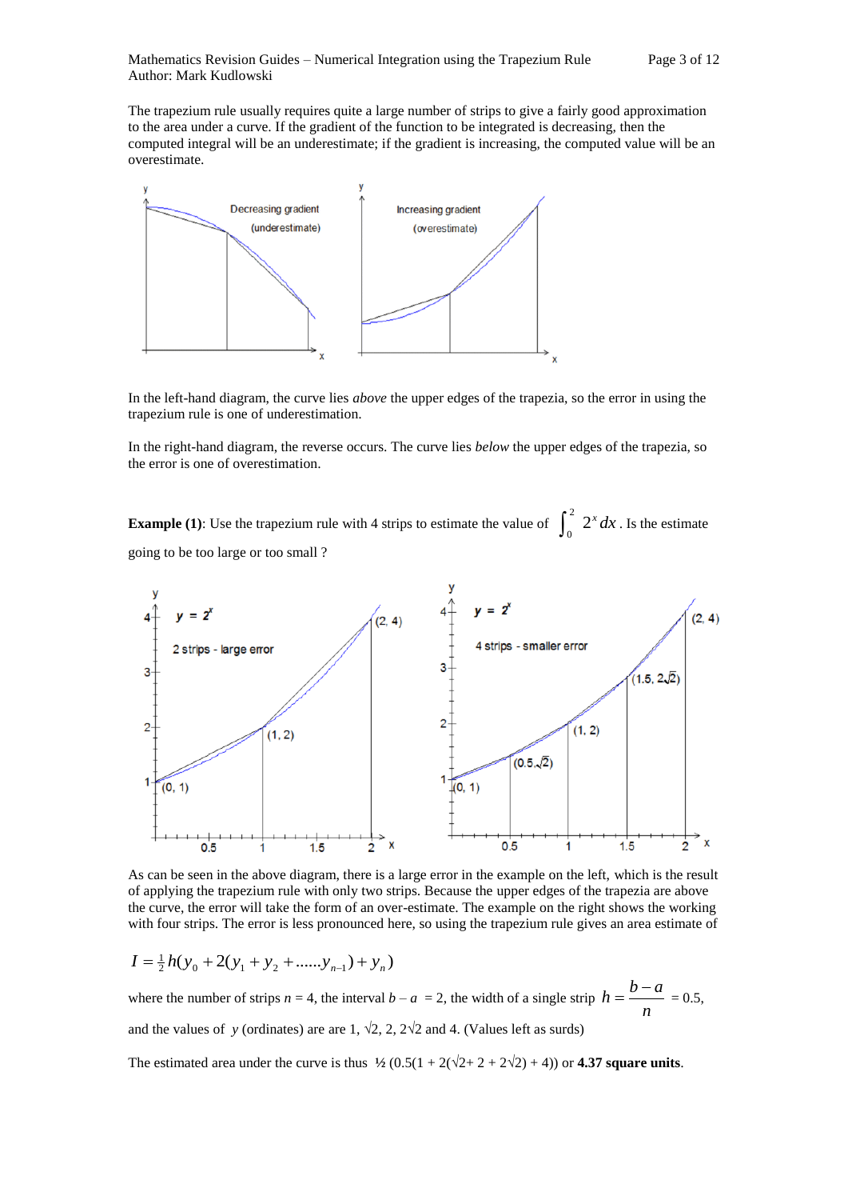The trapezium rule usually requires quite a large number of strips to give a fairly good approximation to the area under a curve. If the gradient of the function to be integrated is decreasing, then the computed integral will be an underestimate; if the gradient is increasing, the computed value will be an overestimate.



In the left-hand diagram, the curve lies *above* the upper edges of the trapezia, so the error in using the trapezium rule is one of underestimation.

In the right-hand diagram, the reverse occurs. The curve lies *below* the upper edges of the trapezia, so the error is one of overestimation.

**Example (1):** Use the trapezium rule with 4 strips to estimate the value of  $\int_0^2 2^x dx$ . Is the estimate going to be too large or too small ?



As can be seen in the above diagram, there is a large error in the example on the left, which is the result of applying the trapezium rule with only two strips. Because the upper edges of the trapezia are above the curve, the error will take the form of an over-estimate. The example on the right shows the working with four strips. The error is less pronounced here, so using the trapezium rule gives an area estimate of

$$
I = \frac{1}{2}h(y_0 + 2(y_1 + y_2 + \dots + y_{n-1}) + y_n)
$$

where the number of strips  $n = 4$ , the interval  $b - a = 2$ , the width of a single strip  $h = \frac{a}{n}$  $h = \frac{b-a}{a} = 0.5$ , and the values of *y* (ordinates) are are 1,  $\sqrt{2}$ , 2,  $2\sqrt{2}$  and 4. (Values left as surds)

The estimated area under the curve is thus  $\frac{1}{2} (0.5(1 + 2(\sqrt{2} + 2 + 2\sqrt{2}) + 4))$  or **4.37 square units**.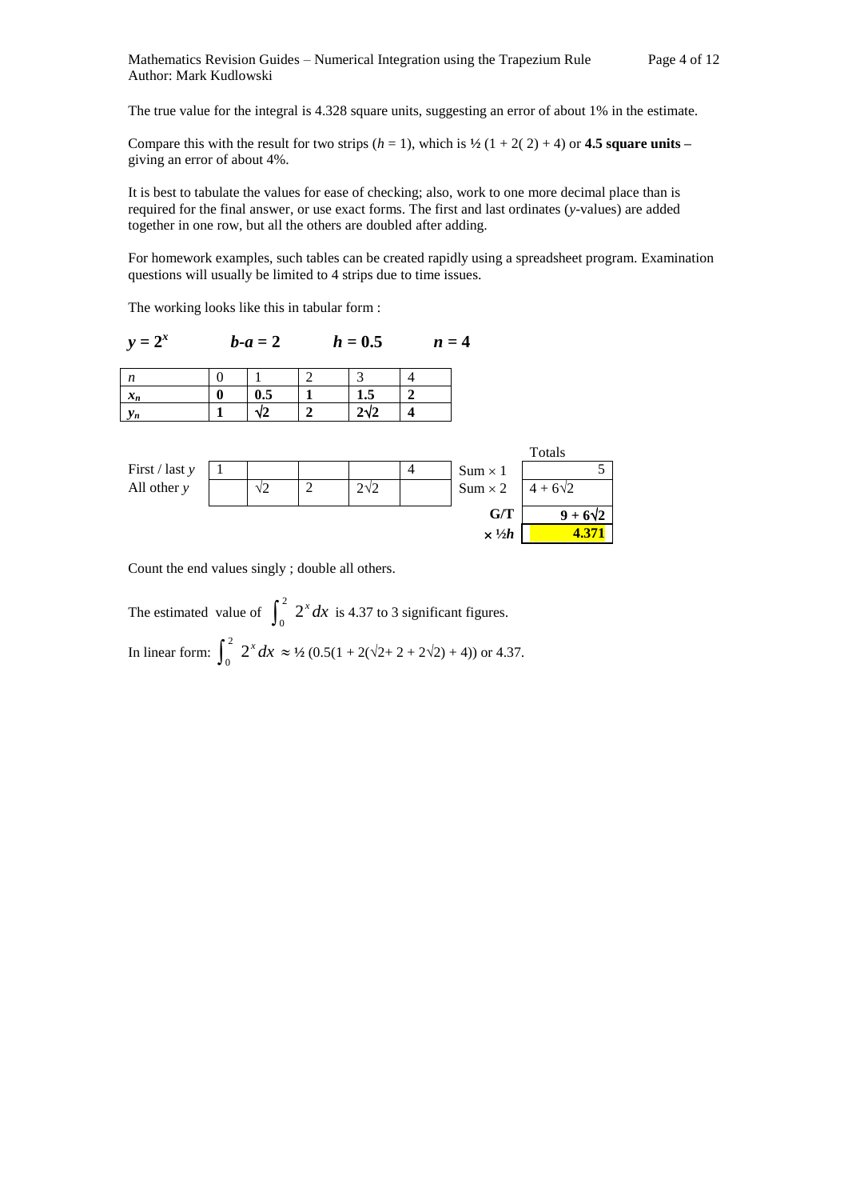The true value for the integral is 4.328 square units, suggesting an error of about 1% in the estimate.

Compare this with the result for two strips  $(h = 1)$ , which is  $\frac{1}{2}$  (1 + 2(2) + 4) or **4.5 square units** – giving an error of about 4%.

It is best to tabulate the values for ease of checking; also, work to one more decimal place than is required for the final answer, or use exact forms. The first and last ordinates (*y*-values) are added together in one row, but all the others are doubled after adding.

For homework examples, such tables can be created rapidly using a spreadsheet program. Examination questions will usually be limited to 4 strips due to time issues.

The working looks like this in tabular form :

$$
y = 2^x
$$
  $b-a = 2$   $h = 0.5$   $n = 4$ 

| $\boldsymbol{\eta}$  |     |               |  |
|----------------------|-----|---------------|--|
| v.<br>$\mathbf{u}_n$ | U.5 | -<br>1.J      |  |
| <br>Уn               | -   | $\Delta$<br>r |  |

|                |            |             |                       | Totals          |
|----------------|------------|-------------|-----------------------|-----------------|
| First / last y |            |             | $Sum \times 1$        |                 |
| All other $y$  | $\sqrt{2}$ | $2\sqrt{2}$ | $Sum \times 2$        | $4 + 6\sqrt{2}$ |
|                |            |             | G/T                   | $9 + 6\sqrt{2}$ |
|                |            |             | $\times \frac{1}{2}h$ |                 |

Count the end values singly ; double all others.

The estimated value of  $\int_0^2 2^x dx$  is 4.37 to 3 significant figures. In linear form:  $\int_0^2 2^x dx \approx 1/2 (0.5(1 + 2(\sqrt{2} + 2 + 2\sqrt{2}) + 4))$  or 4.37.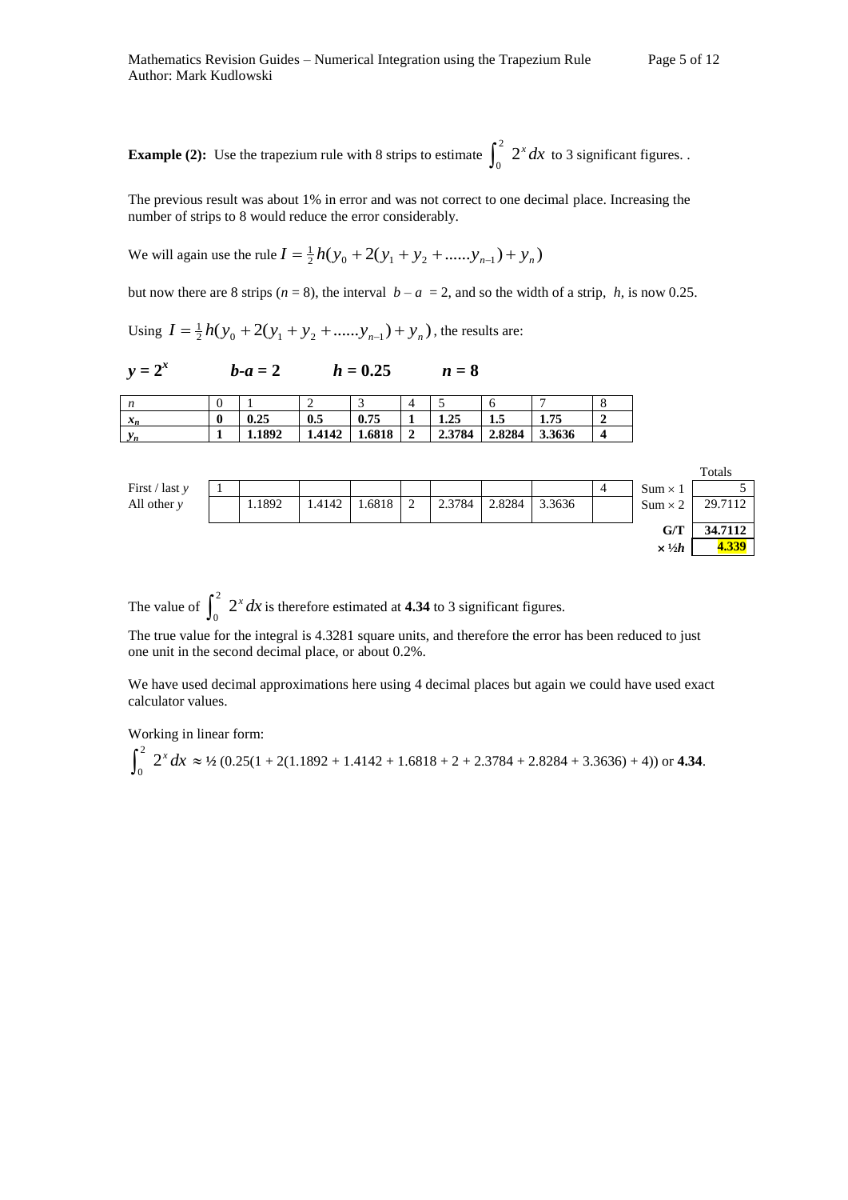**Example (2):** Use the trapezium rule with 8 strips to estimate  $\int_0^2 2^x dx$  to 3 significant figures.

The previous result was about 1% in error and was not correct to one decimal place. Increasing the number of strips to 8 would reduce the error considerably.

We will again use the rule  $I = \frac{1}{2}h(y_0 + 2(y_1 + y_2 + \dots + y_{n-1}) + y_n)$ 

but now there are 8 strips ( $n = 8$ ), the interval  $b - a = 2$ , and so the width of a strip,  $h$ , is now 0.25.

Using  $I = \frac{1}{2}h(y_0 + 2(y_1 + y_2 + \dots + y_{n-1}) + y_n)$ , the results are:

| $y = 2^x$ | $b-a=2$ | $h = 0.25$ | $n=8$ |
|-----------|---------|------------|-------|
|           |         |            |       |

| ,,                      | ν             |        | -      | ◡      |        |        |        |        | u          |
|-------------------------|---------------|--------|--------|--------|--------|--------|--------|--------|------------|
| 74.0<br>$\mathcal{N}_n$ | $\Omega$<br>v | 0.25   | 0.5    | 0.75   |        | 1.25   | ""     | 1.75   |            |
|                         |               | 1.1892 | 1.4142 | 1.6818 | ∼<br>◢ | 2.3784 | 2.8284 | 3.3636 | $\sqrt{2}$ |

|                  |        |        |        |               |        |        |        |                |                       | Totals  |
|------------------|--------|--------|--------|---------------|--------|--------|--------|----------------|-----------------------|---------|
| First / last $y$ |        |        |        |               |        |        |        | $\overline{4}$ | $Sum \times 1$        |         |
| All other $y$    | 1.1892 | 1.4142 | 1.6818 | $\gamma$<br>↵ | 2.3784 | 2.8284 | 3.3636 |                | $Sum \times 2$        | 29.7112 |
|                  |        |        |        |               |        |        |        |                | G/T                   | 34.7112 |
|                  |        |        |        |               |        |        |        |                | $\times \frac{1}{2}h$ | 4.339   |

The value of  $\int_0^2 2^x dx$  is therefore estimated at **4.34** to 3 significant figures.

The true value for the integral is 4.3281 square units, and therefore the error has been reduced to just one unit in the second decimal place, or about 0.2%.

We have used decimal approximations here using 4 decimal places but again we could have used exact calculator values.

Working in linear form:

$$
\int_0^2 2^x dx \approx 1/2 (0.25(1+2(1.1892+1.4142+1.6818+2+2.3784+2.8284+3.3636)+4)) \text{ or } 4.34.
$$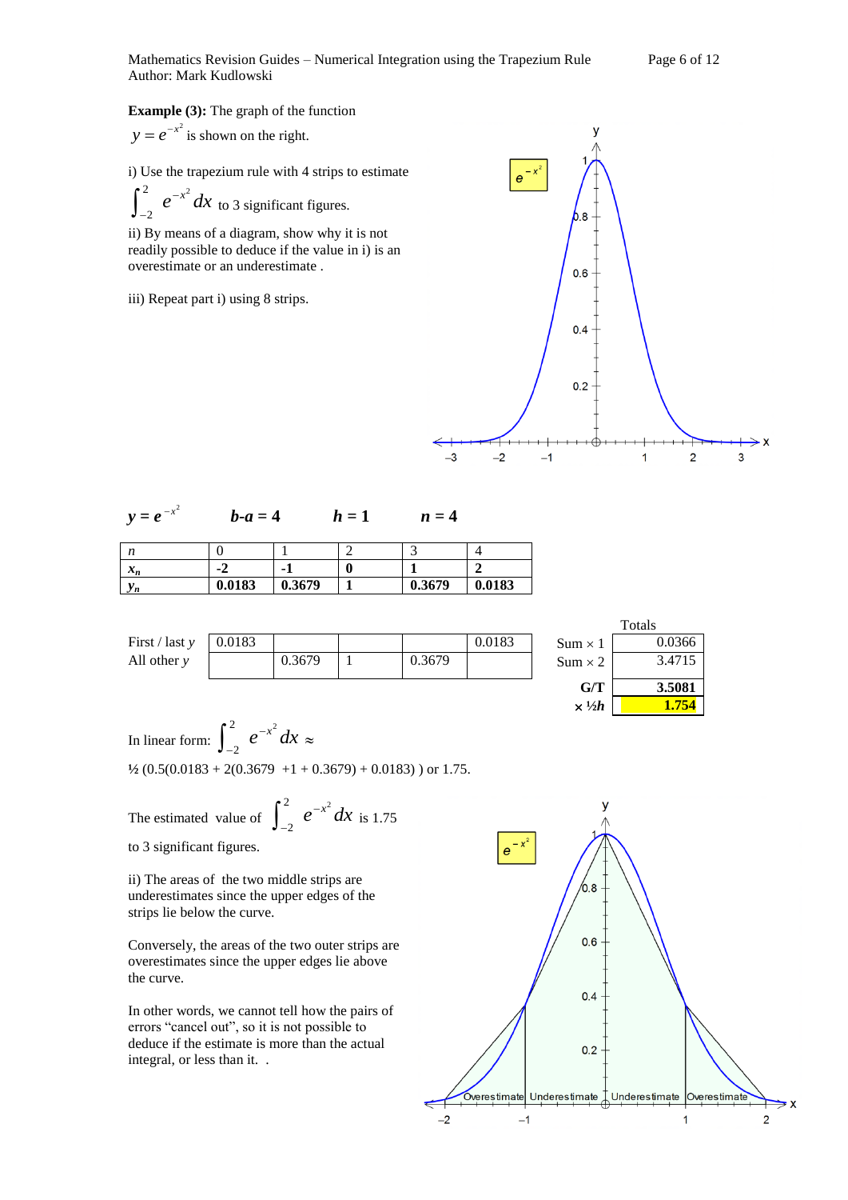#### **Example (3):** The graph of the function

$$
y = e^{-x^2}
$$
 is shown on the right.

i) Use the trapezium rule with 4 strips to estimate

 $e^{-x^2} dx$ 2  $\int_{-2}^{2} e^{-x^2} dx$  to 3 significant figures.

ii) By means of a diagram, show why it is not readily possible to deduce if the value in i) is an overestimate or an underestimate .

iii) Repeat part i) using 8 strips.



| $y = e^{-x^2}$ | $b-a=4$ | $h=1$ | $n=4$ |
|----------------|---------|-------|-------|
|----------------|---------|-------|-------|

| $\mathbf{v}$<br>1 t          |        |        |        |        |
|------------------------------|--------|--------|--------|--------|
| $\bullet$<br>$\mathcal{N}_n$ | - 4    | ۰      |        | A      |
| r n                          | 0.0183 | 0.3679 | 0.3679 | 0.0183 |

|                              |        |        |        |        |                       | Totals |
|------------------------------|--------|--------|--------|--------|-----------------------|--------|
| First $\frac{1}{x}$ last $y$ | 0.0183 |        |        | 0.0183 | $Sum \times 1$        | 0.0366 |
| All other $y$                |        | 0.3679 | 0.3679 |        | $Sum \times 2$        | 3.4715 |
|                              |        |        |        |        | G/T                   | 3.5081 |
|                              |        |        |        |        | $\times \frac{1}{2}h$ | 1.754  |

In linear form:  $\int_{a}^{2} e^{-x^2} dx$ 2  $\int_{-2}^{2} e^{-x^2} dx \approx$  $\frac{1}{2}$  (0.5(0.0183 + 2(0.3679 +1 + 0.3679) + 0.0183) ) or 1.75.

The estimated value of  $\int_{a}^{2} e^{-x^2} dx$ 

2  $\int_{-2}^{2} e^{-x^2} dx$  is 1.75

to 3 significant figures.

ii) The areas of the two middle strips are underestimates since the upper edges of the strips lie below the curve.

Conversely, the areas of the two outer strips are overestimates since the upper edges lie above the curve.

In other words, we cannot tell how the pairs of errors "cancel out", so it is not possible to deduce if the estimate is more than the actual integral, or less than it. .

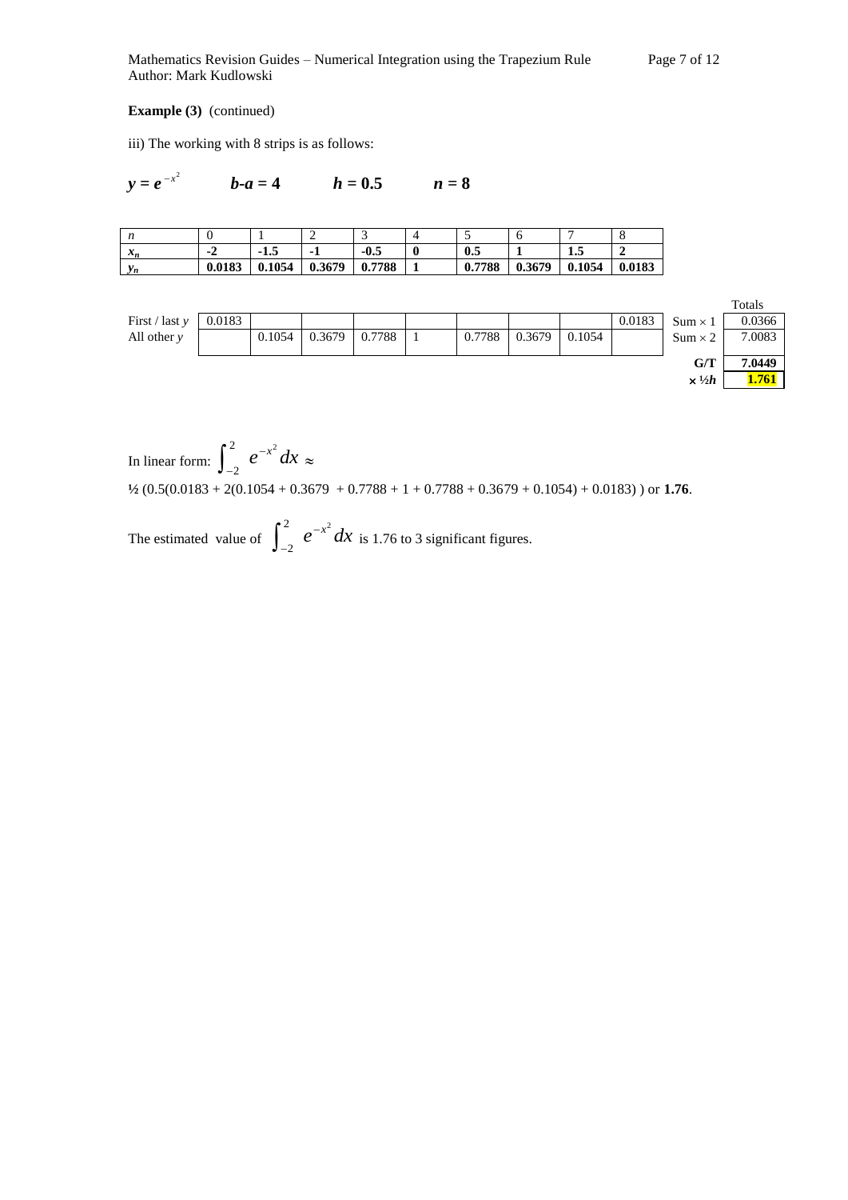Mathematics Revision Guides – Numerical Integration using the Trapezium Rule Page 7 of 12 Author: Mark Kudlowski

#### **Example (3)** (continued)

iii) The working with 8 strips is as follows:

$$
y = e^{-x^2}
$$
  $b-a = 4$   $h = 0.5$   $n = 8$ 

| ,,                              |         |        |        |        |   | $\sim$ $\cdot$ | υ      |        |        |
|---------------------------------|---------|--------|--------|--------|---|----------------|--------|--------|--------|
| $\mathbf{A}$<br>$\mathcal{L}_n$ | ÷<br>-4 | -⊥…    |        | $-0.5$ | υ | $0.5\,$        |        | 1.J    |        |
| W,<br>v n                       | 0.0183  | 0.1054 | 0.3679 | 0.7788 |   | 0.7788         | 0.3679 | 0.1054 | 0.0183 |



In linear form:  $\int_{a}^{2} e^{-x^2} dx$ 2  $\int_{-2}^{2} e^{-x^2} dx \approx$ **½** (0.5(0.0183 + 2(0.1054 + 0.3679 + 0.7788 + 1 + 0.7788 + 0.3679 + 0.1054) + 0.0183) ) or **1.76**.

The estimated value of  $\int_{0}^{2} e^{-x^2} dx$ 2  $\int_{-2}^{2} e^{-x^2} dx$  is 1.76 to 3 significant figures.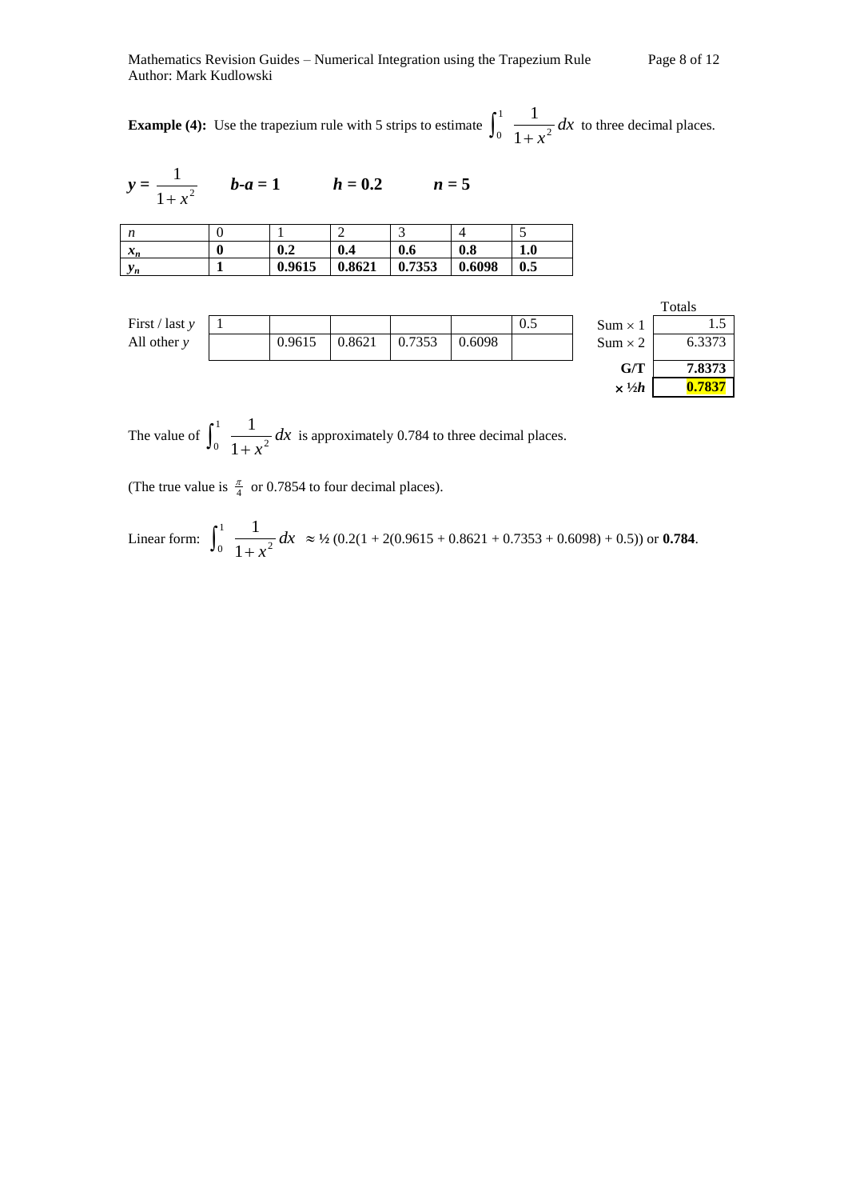**Example (4):** Use the trapezium rule with 5 strips to estimate  $\int_{a}^{1} \frac{1}{\sqrt{a^2 - 3}} dx$  $x^2$ 1  $0\quad1$ 1  $\int_0^1 \frac{1}{1+x^2} dx$  to three decimal places.

$$
y = \frac{1}{1 + x^2}
$$
  $b-a = 1$   $h = 0.2$   $n = 5$ 

| n     |        |          | ت      |        | ت   |
|-------|--------|----------|--------|--------|-----|
| $x_n$ | 0.2    | 0<br>0.4 | 0.6    | 0.8    | 1.0 |
| $y_n$ | 0.9615 | 0.8621   | 0.7353 | 0.6098 | 0.5 |

|                  |        |        |        |        |     | ---            | - - - - - |
|------------------|--------|--------|--------|--------|-----|----------------|-----------|
| All other $y$    | 0.9615 | 0.8621 | 0.7353 | 0.6098 |     | $Sum \times 2$ | 6.3373    |
| First / last $y$ |        |        |        |        | 0.5 | $Sum \times 1$ | 1.J       |
|                  |        |        |        |        |     |                | a viais   |

|                       | Totals |
|-----------------------|--------|
| ım $\times$ 1         | 15     |
| ım $\times$ 2         | 6.3373 |
| G/T                   | 7.8373 |
| $\times \frac{1}{2}h$ | 0.7837 |

The value of  $\int_{0}^{1} \frac{1}{1} dx$  $x^2$ 1  $0 \quad 1$ 1  $\int_0^1 \frac{1}{1+x^2} dx$  is approximately 0.784 to three decimal places.

(The true value is  $\frac{\pi}{4}$  or 0.7854 to four decimal places).

Linear form: 
$$
\int_0^1 \frac{1}{1+x^2} dx \approx 1/2 (0.2(1+2(0.9615+0.8621+0.7353+0.6098)+0.5)) \text{ or } 0.784.
$$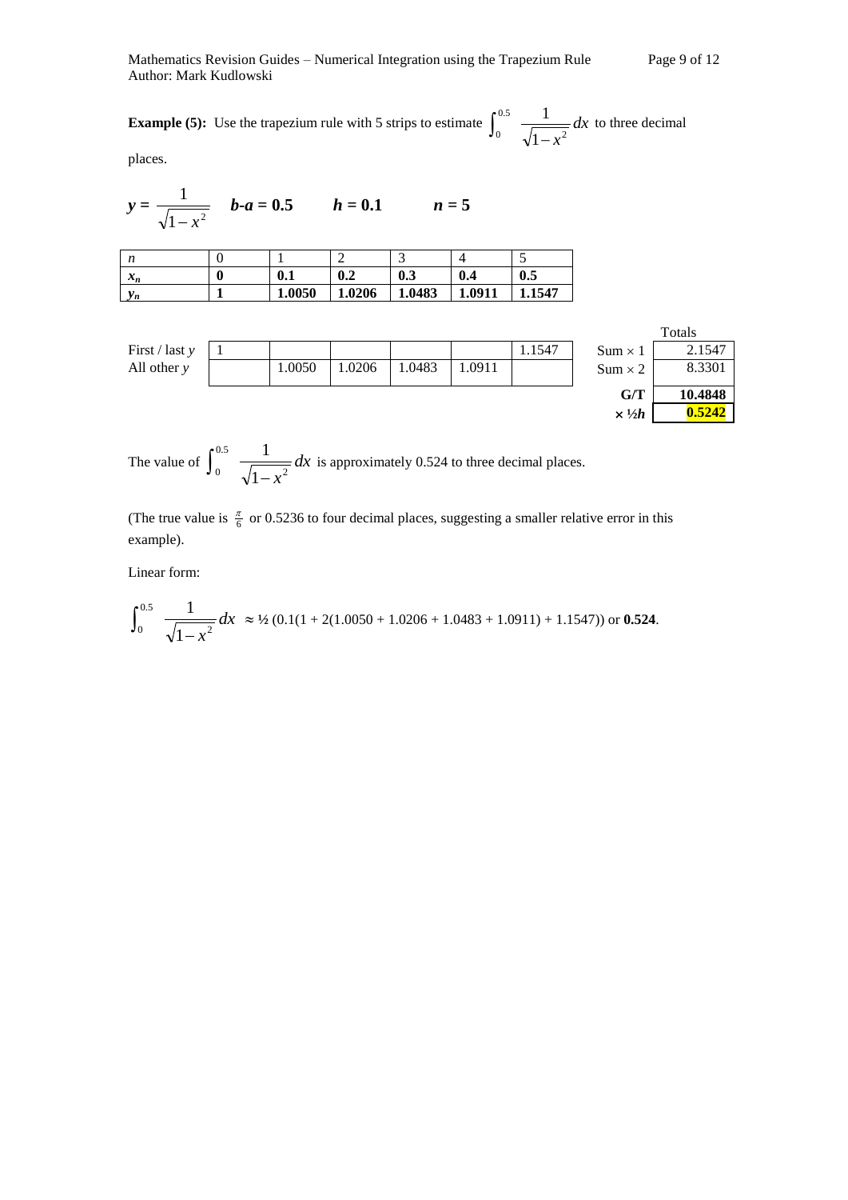Mathematics Revision Guides – Numerical Integration using the Trapezium Rule Page 9 of 12 Author: Mark Kudlowski

**Example (5):** Use the trapezium rule with 5 strips to estimate  $\int_{-\infty}^{\infty} \frac{1}{\sqrt{1-\frac{1}{n}}}\,dx$  $x^2$ 0.5  $\sqrt{1}$ 1  $\int_0^{\infty} \frac{1}{\sqrt{1-x^2}} dx$  to three decimal

places.

$$
y = \frac{1}{\sqrt{1 - x^2}}
$$
  $b-a = 0.5$   $h = 0.1$   $n = 5$ 

| $\mathbf{v}$                 |        | ∽      | -      |        | ت    |
|------------------------------|--------|--------|--------|--------|------|
| $\bullet$<br>$\mathcal{N}_n$ | 0.1    | 0.2    | 0.3    | 0.4    | 0.5  |
| y n                          | 1.0050 | 1.0206 | 1.0483 | 1.0911 | 1547 |

|                  |        |        |       |        |        |                | a viais |
|------------------|--------|--------|-------|--------|--------|----------------|---------|
| First / last $y$ |        |        |       |        | 1.1547 | $Sum \times 1$ | 2.1547  |
| All other $\nu$  | 1.0050 | 1.0206 | .0483 | 1.0911 |        | $Sum \times 2$ | 8.3301  |
|                  |        |        |       |        |        |                |         |

|                         | Totals  |
|-------------------------|---------|
| $\mathrm{sum} \times 1$ | 2.1547  |
| $\text{sum} \times 2$   | 8.3301  |
| G/T                     | 10.4848 |
| $\times \frac{1}{2}h$   | 0.5242  |

The value of  $\int_{0}^{\infty} \frac{1}{\sqrt{dx}} dx$  $x^2$ 0.5  $\sqrt{1}$ 1  $\int_0^{\infty}$   $\frac{1}{\sqrt{1-x^2}} dx$  is approximately 0.524 to three decimal places.

(The true value is  $\frac{\pi}{6}$  or 0.5236 to four decimal places, suggesting a smaller relative error in this example).

Linear form:

$$
\int_0^{0.5} \frac{1}{\sqrt{1-x^2}} dx \approx 1/2 (0.1(1+2(1.0050+1.0206+1.0483+1.0911)+1.1547)) \text{ or } 0.524.
$$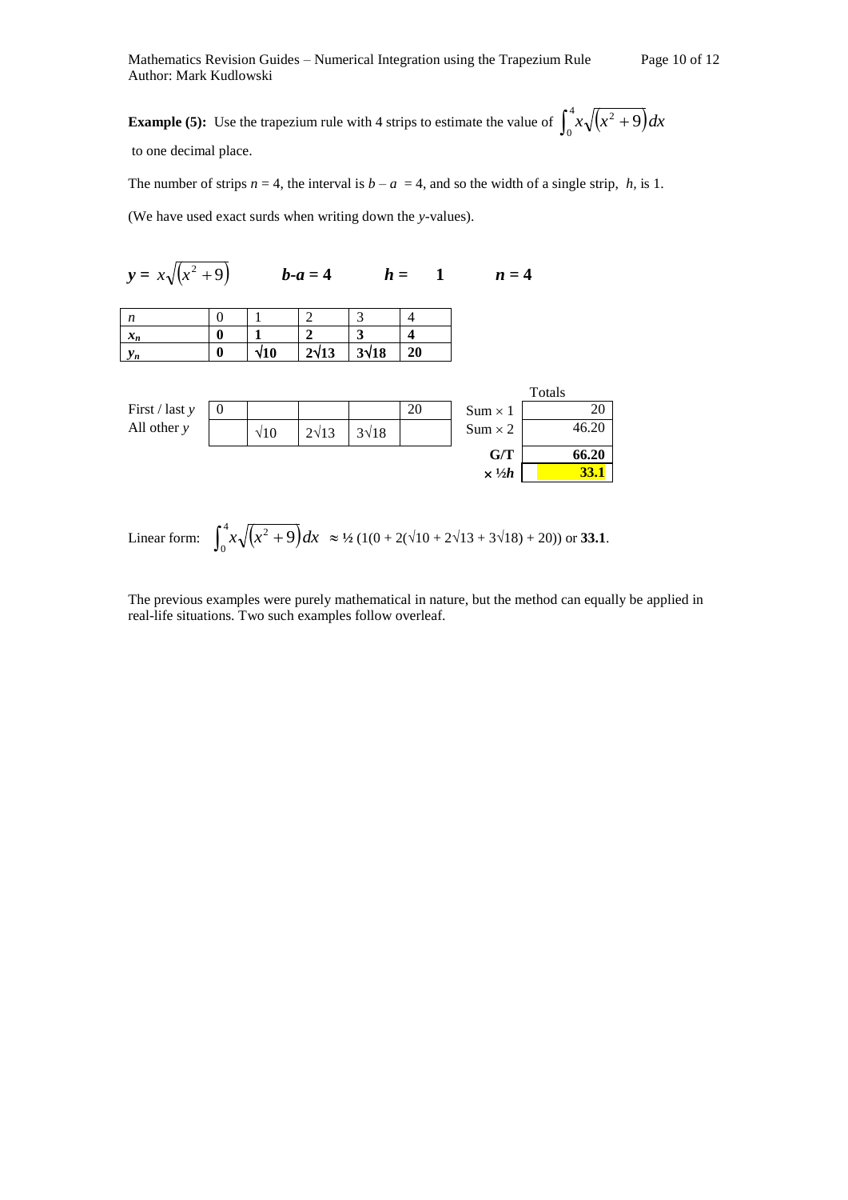**Example (5):** Use the trapezium rule with 4 strips to estimate the value of  $\int_{a}^{4} x \sqrt{x^2 + 9} dx$ 0  $\int_0^x x \sqrt{x^2 +}$ to one decimal place.

The number of strips  $n = 4$ , the interval is  $b - a = 4$ , and so the width of a single strip, *h*, is 1.

(We have used exact surds when writing down the *y-*values).

| $y = x\sqrt{x^2 + 9}$ |   |             | $b-a=4$      |              | $h = 1$ | $n=4$ |
|-----------------------|---|-------------|--------------|--------------|---------|-------|
| n                     |   |             |              |              |         |       |
| $x_n$                 | 0 |             |              |              |         |       |
| $y_n$                 | 0 | $\sqrt{10}$ | $2\sqrt{13}$ | $3\sqrt{18}$ | 20      |       |
|                       |   |             |              |              |         |       |

|                              |   |             |              |              |    |                       | Totals |
|------------------------------|---|-------------|--------------|--------------|----|-----------------------|--------|
| First $\frac{1}{x}$ last $y$ | v |             |              |              | 20 | $Sum \times 1$        | 20     |
| All other $y$                |   | $\sqrt{10}$ | $2\sqrt{13}$ | $3\sqrt{18}$ |    | $Sum \times 2$        | 46.20  |
|                              |   |             |              |              |    | G/T                   | 66.20  |
|                              |   |             |              |              |    | $\times \frac{1}{2}h$ | 33.1   |

Linear form: 
$$
\int_0^4 x \sqrt{x^2 + 9} dx \approx 1/2 (1(0 + 2(\sqrt{10} + 2\sqrt{13} + 3\sqrt{18}) + 20))
$$
 or **33.1**.

The previous examples were purely mathematical in nature, but the method can equally be applied in real-life situations. Two such examples follow overleaf.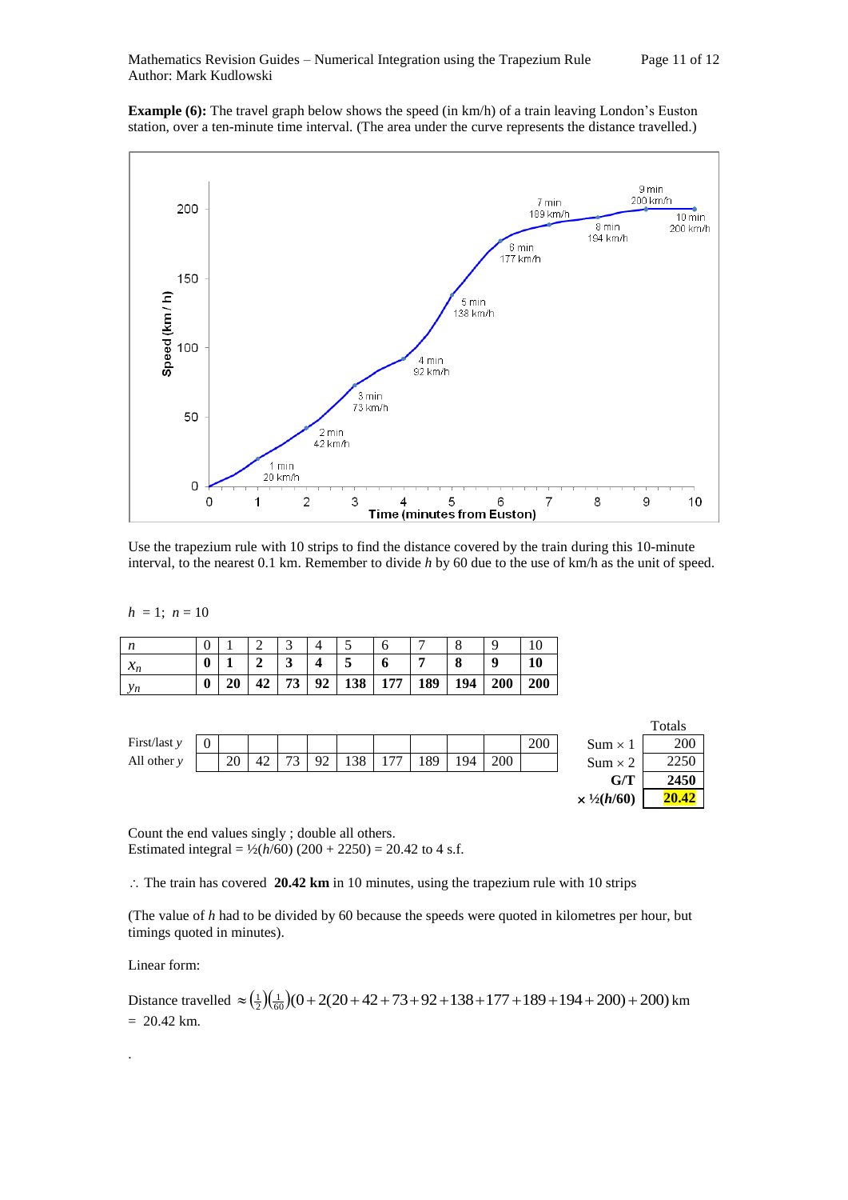**Example (6):** The travel graph below shows the speed (in km/h) of a train leaving London's Euston station, over a ten-minute time interval. (The area under the curve represents the distance travelled.)



Use the trapezium rule with 10 strips to find the distance covered by the train during this 10-minute interval, to the nearest 0.1 km. Remember to divide *h* by 60 due to the use of km/h as the unit of speed.

 $h = 1$ ;  $n = 10$ 

| n     |                  |    |                         |             |                                 | $\Omega$         |     |
|-------|------------------|----|-------------------------|-------------|---------------------------------|------------------|-----|
| $x_n$ | $\boldsymbol{0}$ |    | $\overline{\mathbf{4}}$ | $\mathbf o$ |                                 | $\boldsymbol{Q}$ | 10  |
| $y_n$ | $\boldsymbol{0}$ | 42 |                         |             | 73   92   138   177   189   194 | 200              | 200 |



Count the end values singly ; double all others. Estimated integral =  $\frac{1}{2}(h/60) (200 + 2250) = 20.42$  to 4 s.f.

6 0

 $\therefore$  The train has covered 20.42 km in 10 minutes, using the trapezium rule with 10 strips

(The value of *h* had to be divided by 60 because the speeds were quoted in kilometres per hour, but timings quoted in minutes).

Linear form:

.

Distance travelled 
$$
\approx \left(\frac{1}{2}\right)\left(\frac{1}{60}\right)(0+2(20+42+73+92+138+177+189+194+200)+200)
$$
 km  
= 20.42 km.